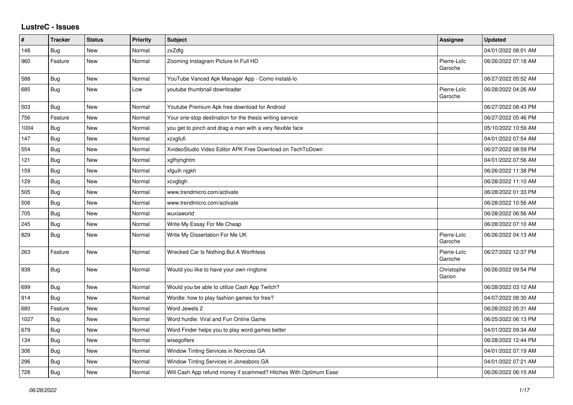## **LustreC - Issues**

| #    | <b>Tracker</b> | <b>Status</b> | <b>Priority</b> | <b>Subject</b>                                                   | Assignee               | <b>Updated</b>      |
|------|----------------|---------------|-----------------|------------------------------------------------------------------|------------------------|---------------------|
| 148  | <b>Bug</b>     | <b>New</b>    | Normal          | zxZdfg                                                           |                        | 04/01/2022 08:01 AM |
| 960  | Feature        | <b>New</b>    | Normal          | Zooming Instagram Picture In Full HD                             | Pierre-Loïc<br>Garoche | 06/26/2022 07:18 AM |
| 588  | Bug            | <b>New</b>    | Normal          | YouTube Vanced Apk Manager App - Como instalá-lo                 |                        | 06/27/2022 05:52 AM |
| 685  | Bug            | New           | Low             | youtube thumbnail downloader                                     | Pierre-Loïc<br>Garoche | 06/28/2022 04:26 AM |
| 503  | Bug            | <b>New</b>    | Normal          | Youtube Premium Apk free download for Android                    |                        | 06/27/2022 08:43 PM |
| 756  | Feature        | New           | Normal          | Your one-stop destination for the thesis writing service         |                        | 06/27/2022 05:46 PM |
| 1004 | <b>Bug</b>     | New           | Normal          | you get to pinch and drag a man with a very flexible face        |                        | 05/10/2022 10:59 AM |
| 147  | <b>Bug</b>     | New           | Normal          | xzxgfufi                                                         |                        | 04/01/2022 07:54 AM |
| 554  | <b>Bug</b>     | New           | Normal          | XvideoStudio Video Editor APK Free Download on TechToDown        |                        | 06/27/2022 08:59 PM |
| 121  | Bug            | New           | Normal          | xgfhjmghtm                                                       |                        | 04/01/2022 07:56 AM |
| 159  | <b>Bug</b>     | <b>New</b>    | Normal          | xfguih njgkh                                                     |                        | 06/26/2022 11:38 PM |
| 129  | <b>Bug</b>     | New           | Normal          | xcvgbgh                                                          |                        | 06/28/2022 11:10 AM |
| 505  | Bug            | New           | Normal          | www.trendmicro.com/activate                                      |                        | 06/28/2022 01:33 PM |
| 506  | <b>Bug</b>     | New           | Normal          | www.trendmicro.com/activate                                      |                        | 06/28/2022 10:56 AM |
| 705  | Bug            | New           | Normal          | wuxiaworld                                                       |                        | 06/28/2022 06:56 AM |
| 245  | Bug            | New           | Normal          | Write My Essay For Me Cheap                                      |                        | 06/28/2022 07:10 AM |
| 829  | Bug            | <b>New</b>    | Normal          | Write My Dissertation For Me UK                                  | Pierre-Loïc<br>Garoche | 06/26/2022 04:13 AM |
| 263  | Feature        | New           | Normal          | Wrecked Car Is Nothing But A Worthless                           | Pierre-Loïc<br>Garoche | 06/27/2022 12:37 PM |
| 938  | Bug            | New           | Normal          | Would you like to have your own ringtone                         | Christophe<br>Garion   | 06/26/2022 09:54 PM |
| 699  | <b>Bug</b>     | New           | Normal          | Would you be able to utilize Cash App Twitch?                    |                        | 06/28/2022 03:12 AM |
| 914  | Bug            | <b>New</b>    | Normal          | Wordle: how to play fashion games for free?                      |                        | 04/07/2022 08:30 AM |
| 680  | Feature        | <b>New</b>    | Normal          | Word Jewels 2                                                    |                        | 06/28/2022 05:31 AM |
| 1027 | Bug            | New           | Normal          | Word hurdle: Viral and Fun Online Game                           |                        | 06/25/2022 06:13 PM |
| 679  | <b>Bug</b>     | New           | Normal          | Word Finder helps you to play word games better                  |                        | 04/01/2022 09:34 AM |
| 134  | <b>Bug</b>     | New           | Normal          | wisegolfers                                                      |                        | 06/28/2022 12:44 PM |
| 306  | <b>Bug</b>     | New           | Normal          | Window Tinting Services in Norcross GA                           |                        | 04/01/2022 07:19 AM |
| 296  | Bug            | New           | Normal          | Window Tinting Services in Jonesboro GA                          |                        | 04/01/2022 07:21 AM |
| 728  | Bug            | New           | Normal          | Will Cash App refund money if scammed? Hitches With Optimum Ease |                        | 06/26/2022 06:15 AM |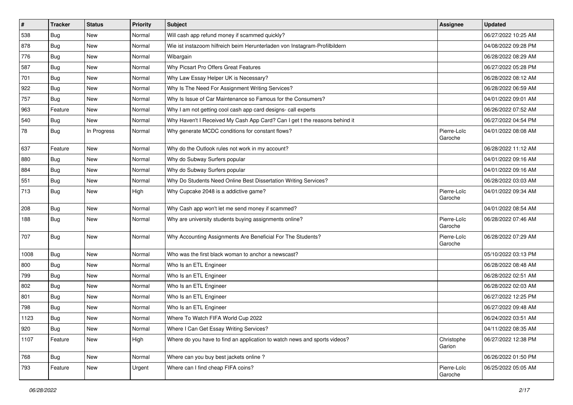| $\vert$ # | <b>Tracker</b> | <b>Status</b> | Priority | <b>Subject</b>                                                             | Assignee               | <b>Updated</b>      |
|-----------|----------------|---------------|----------|----------------------------------------------------------------------------|------------------------|---------------------|
| 538       | <b>Bug</b>     | New           | Normal   | Will cash app refund money if scammed quickly?                             |                        | 06/27/2022 10:25 AM |
| 878       | Bug            | New           | Normal   | Wie ist instazoom hilfreich beim Herunterladen von Instagram-Profilbildern |                        | 04/08/2022 09:28 PM |
| 776       | Bug            | New           | Normal   | Wibargain                                                                  |                        | 06/28/2022 08:29 AM |
| 587       | Bug            | New           | Normal   | Why Picsart Pro Offers Great Features                                      |                        | 06/27/2022 05:28 PM |
| 701       | Bug            | New           | Normal   | Why Law Essay Helper UK is Necessary?                                      |                        | 06/28/2022 08:12 AM |
| 922       | <b>Bug</b>     | New           | Normal   | Why Is The Need For Assignment Writing Services?                           |                        | 06/28/2022 06:59 AM |
| 757       | <b>Bug</b>     | New           | Normal   | Why Is Issue of Car Maintenance so Famous for the Consumers?               |                        | 04/01/2022 09:01 AM |
| 963       | Feature        | New           | Normal   | Why I am not getting cool cash app card designs- call experts              |                        | 06/26/2022 07:52 AM |
| 540       | Bug            | New           | Normal   | Why Haven't I Received My Cash App Card? Can I get t the reasons behind it |                        | 06/27/2022 04:54 PM |
| 78        | Bug            | In Progress   | Normal   | Why generate MCDC conditions for constant flows?                           | Pierre-Loïc<br>Garoche | 04/01/2022 08:08 AM |
| 637       | Feature        | New           | Normal   | Why do the Outlook rules not work in my account?                           |                        | 06/28/2022 11:12 AM |
| 880       | Bug            | New           | Normal   | Why do Subway Surfers popular                                              |                        | 04/01/2022 09:16 AM |
| 884       | <b>Bug</b>     | New           | Normal   | Why do Subway Surfers popular                                              |                        | 04/01/2022 09:16 AM |
| 551       | Bug            | New           | Normal   | Why Do Students Need Online Best Dissertation Writing Services?            |                        | 06/28/2022 03:03 AM |
| 713       | Bug            | New           | High     | Why Cupcake 2048 is a addictive game?                                      | Pierre-Loïc<br>Garoche | 04/01/2022 09:34 AM |
| 208       | Bug            | New           | Normal   | Why Cash app won't let me send money if scammed?                           |                        | 04/01/2022 08:54 AM |
| 188       | Bug            | New           | Normal   | Why are university students buying assignments online?                     | Pierre-Loïc<br>Garoche | 06/28/2022 07:46 AM |
| 707       | Bug            | New           | Normal   | Why Accounting Assignments Are Beneficial For The Students?                | Pierre-Loïc<br>Garoche | 06/28/2022 07:29 AM |
| 1008      | Bug            | New           | Normal   | Who was the first black woman to anchor a newscast?                        |                        | 05/10/2022 03:13 PM |
| 800       | Bug            | New           | Normal   | Who Is an ETL Engineer                                                     |                        | 06/28/2022 08:48 AM |
| 799       | <b>Bug</b>     | New           | Normal   | Who Is an ETL Engineer                                                     |                        | 06/28/2022 02:51 AM |
| 802       | Bug            | <b>New</b>    | Normal   | Who Is an ETL Engineer                                                     |                        | 06/28/2022 02:03 AM |
| 801       | <b>Bug</b>     | New           | Normal   | Who Is an ETL Engineer                                                     |                        | 06/27/2022 12:25 PM |
| 798       | <b>Bug</b>     | New           | Normal   | Who Is an ETL Engineer                                                     |                        | 06/27/2022 09:48 AM |
| 1123      | Bug            | New           | Normal   | Where To Watch FIFA World Cup 2022                                         |                        | 06/24/2022 03:51 AM |
| 920       | <b>Bug</b>     | New           | Normal   | Where I Can Get Essay Writing Services?                                    |                        | 04/11/2022 08:35 AM |
| 1107      | Feature        | New           | High     | Where do you have to find an application to watch news and sports videos?  | Christophe<br>Garion   | 06/27/2022 12:38 PM |
| 768       | Bug            | New           | Normal   | Where can you buy best jackets online?                                     |                        | 06/26/2022 01:50 PM |
| 793       | Feature        | New           | Urgent   | Where can I find cheap FIFA coins?                                         | Pierre-Loïc<br>Garoche | 06/25/2022 05:05 AM |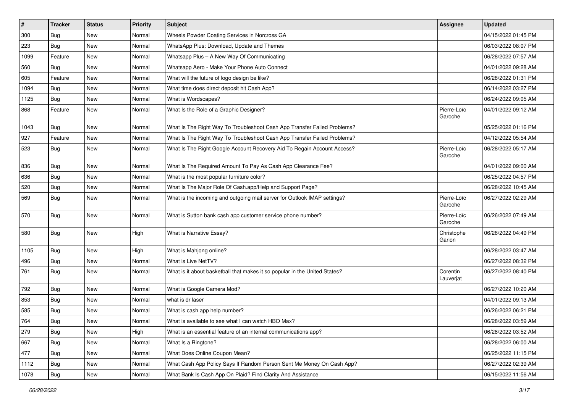| $\sharp$ | <b>Tracker</b> | <b>Status</b> | Priority | <b>Subject</b>                                                             | <b>Assignee</b>        | <b>Updated</b>      |
|----------|----------------|---------------|----------|----------------------------------------------------------------------------|------------------------|---------------------|
| 300      | Bug            | New           | Normal   | Wheels Powder Coating Services in Norcross GA                              |                        | 04/15/2022 01:45 PM |
| 223      | Bug            | New           | Normal   | WhatsApp Plus: Download, Update and Themes                                 |                        | 06/03/2022 08:07 PM |
| 1099     | Feature        | New           | Normal   | Whatsapp Plus - A New Way Of Communicating                                 |                        | 06/28/2022 07:57 AM |
| 560      | Bug            | New           | Normal   | Whatsapp Aero - Make Your Phone Auto Connect                               |                        | 04/01/2022 09:28 AM |
| 605      | Feature        | New           | Normal   | What will the future of logo design be like?                               |                        | 06/28/2022 01:31 PM |
| 1094     | Bug            | New           | Normal   | What time does direct deposit hit Cash App?                                |                        | 06/14/2022 03:27 PM |
| 1125     | Bug            | New           | Normal   | What is Wordscapes?                                                        |                        | 06/24/2022 09:05 AM |
| 868      | Feature        | New           | Normal   | What Is the Role of a Graphic Designer?                                    | Pierre-Loïc<br>Garoche | 04/01/2022 09:12 AM |
| 1043     | Bug            | <b>New</b>    | Normal   | What Is The Right Way To Troubleshoot Cash App Transfer Failed Problems?   |                        | 05/25/2022 01:16 PM |
| 927      | Feature        | New           | Normal   | What Is The Right Way To Troubleshoot Cash App Transfer Failed Problems?   |                        | 04/12/2022 05:54 AM |
| 523      | Bug            | New           | Normal   | What Is The Right Google Account Recovery Aid To Regain Account Access?    | Pierre-Loïc<br>Garoche | 06/28/2022 05:17 AM |
| 836      | Bug            | New           | Normal   | What Is The Required Amount To Pay As Cash App Clearance Fee?              |                        | 04/01/2022 09:00 AM |
| 636      | Bug            | New           | Normal   | What is the most popular furniture color?                                  |                        | 06/25/2022 04:57 PM |
| 520      | Bug            | New           | Normal   | What Is The Major Role Of Cash.app/Help and Support Page?                  |                        | 06/28/2022 10:45 AM |
| 569      | Bug            | New           | Normal   | What is the incoming and outgoing mail server for Outlook IMAP settings?   | Pierre-Loïc<br>Garoche | 06/27/2022 02:29 AM |
| 570      | Bug            | New           | Normal   | What is Sutton bank cash app customer service phone number?                | Pierre-Loïc<br>Garoche | 06/26/2022 07:49 AM |
| 580      | Bug            | New           | High     | What is Narrative Essay?                                                   | Christophe<br>Garion   | 06/26/2022 04:49 PM |
| 1105     | Bug            | New           | High     | What is Mahjong online?                                                    |                        | 06/28/2022 03:47 AM |
| 496      | Bug            | New           | Normal   | What is Live NetTV?                                                        |                        | 06/27/2022 08:32 PM |
| 761      | Bug            | New           | Normal   | What is it about basketball that makes it so popular in the United States? | Corentin<br>Lauverjat  | 06/27/2022 08:40 PM |
| 792      | Bug            | New           | Normal   | What is Google Camera Mod?                                                 |                        | 06/27/2022 10:20 AM |
| 853      | Bug            | New           | Normal   | what is dr laser                                                           |                        | 04/01/2022 09:13 AM |
| 585      | Bug            | New           | Normal   | What is cash app help number?                                              |                        | 06/26/2022 06:21 PM |
| 764      | Bug            | New           | Normal   | What is available to see what I can watch HBO Max?                         |                        | 06/28/2022 03:59 AM |
| 279      | Bug            | New           | High     | What is an essential feature of an internal communications app?            |                        | 06/28/2022 03:52 AM |
| 667      | Bug            | New           | Normal   | What Is a Ringtone?                                                        |                        | 06/28/2022 06:00 AM |
| 477      | Bug            | New           | Normal   | What Does Online Coupon Mean?                                              |                        | 06/25/2022 11:15 PM |
| 1112     | Bug            | New           | Normal   | What Cash App Policy Says If Random Person Sent Me Money On Cash App?      |                        | 06/27/2022 02:39 AM |
| 1078     | Bug            | New           | Normal   | What Bank Is Cash App On Plaid? Find Clarity And Assistance                |                        | 06/15/2022 11:56 AM |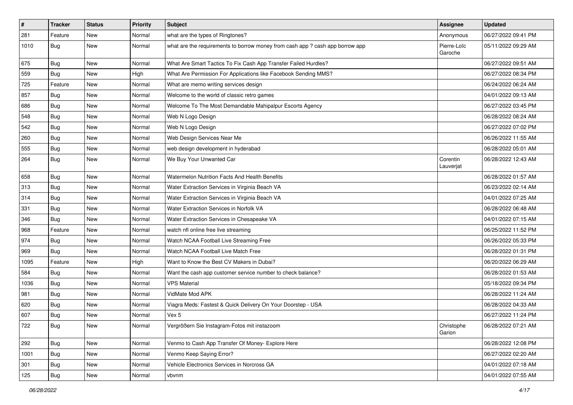| #    | <b>Tracker</b> | <b>Status</b> | Priority | Subject                                                                       | Assignee               | <b>Updated</b>      |
|------|----------------|---------------|----------|-------------------------------------------------------------------------------|------------------------|---------------------|
| 281  | Feature        | <b>New</b>    | Normal   | what are the types of Ringtones?                                              | Anonymous              | 06/27/2022 09:41 PM |
| 1010 | Bug            | New           | Normal   | what are the requirements to borrow money from cash app ? cash app borrow app | Pierre-Loïc<br>Garoche | 05/11/2022 09:29 AM |
| 675  | Bug            | New           | Normal   | What Are Smart Tactics To Fix Cash App Transfer Failed Hurdles?               |                        | 06/27/2022 09:51 AM |
| 559  | <b>Bug</b>     | <b>New</b>    | High     | What Are Permission For Applications like Facebook Sending MMS?               |                        | 06/27/2022 08:34 PM |
| 725  | Feature        | New           | Normal   | What are memo writing services design                                         |                        | 06/24/2022 06:24 AM |
| 857  | Bug            | New           | Normal   | Welcome to the world of classic retro games                                   |                        | 04/01/2022 09:13 AM |
| 686  | Bug            | New           | Normal   | Welcome To The Most Demandable Mahipalpur Escorts Agency                      |                        | 06/27/2022 03:45 PM |
| 548  | Bug            | New           | Normal   | Web N Logo Design                                                             |                        | 06/28/2022 08:24 AM |
| 542  | Bug            | New           | Normal   | Web N Logo Design                                                             |                        | 06/27/2022 07:02 PM |
| 260  | <b>Bug</b>     | New           | Normal   | Web Design Services Near Me                                                   |                        | 06/26/2022 11:55 AM |
| 555  | Bug            | New           | Normal   | web design development in hyderabad                                           |                        | 06/28/2022 05:01 AM |
| 264  | Bug            | <b>New</b>    | Normal   | We Buy Your Unwanted Car                                                      | Corentin<br>Lauverjat  | 06/28/2022 12:43 AM |
| 658  | Bug            | New           | Normal   | Watermelon Nutrition Facts And Health Benefits                                |                        | 06/28/2022 01:57 AM |
| 313  | Bug            | New           | Normal   | Water Extraction Services in Virginia Beach VA                                |                        | 06/23/2022 02:14 AM |
| 314  | Bug            | New           | Normal   | Water Extraction Services in Virginia Beach VA                                |                        | 04/01/2022 07:25 AM |
| 331  | Bug            | <b>New</b>    | Normal   | Water Extraction Services in Norfolk VA                                       |                        | 06/28/2022 06:48 AM |
| 346  | <b>Bug</b>     | New           | Normal   | Water Extraction Services in Chesapeake VA                                    |                        | 04/01/2022 07:15 AM |
| 968  | Feature        | New           | Normal   | watch nfl online free live streaming                                          |                        | 06/25/2022 11:52 PM |
| 974  | Bug            | <b>New</b>    | Normal   | Watch NCAA Football Live Streaming Free                                       |                        | 06/26/2022 05:33 PM |
| 969  | <b>Bug</b>     | New           | Normal   | Watch NCAA Football Live Match Free                                           |                        | 06/28/2022 01:31 PM |
| 1095 | Feature        | <b>New</b>    | High     | Want to Know the Best CV Makers in Dubai?                                     |                        | 06/20/2022 06:29 AM |
| 584  | Bug            | New           | Normal   | Want the cash app customer service number to check balance?                   |                        | 06/28/2022 01:53 AM |
| 1036 | Bug            | New           | Normal   | <b>VPS Material</b>                                                           |                        | 05/18/2022 09:34 PM |
| 981  | Bug            | New           | Normal   | VidMate Mod APK                                                               |                        | 06/28/2022 11:24 AM |
| 620  | Bug            | New           | Normal   | Viagra Meds: Fastest & Quick Delivery On Your Doorstep - USA                  |                        | 06/28/2022 04:33 AM |
| 607  | Bug            | New           | Normal   | Vex 5                                                                         |                        | 06/27/2022 11:24 PM |
| 722  | Bug            | New           | Normal   | Vergrößern Sie Instagram-Fotos mit instazoom                                  | Christophe<br>Garion   | 06/28/2022 07:21 AM |
| 292  | Bug            | New           | Normal   | Venmo to Cash App Transfer Of Money- Explore Here                             |                        | 06/28/2022 12:08 PM |
| 1001 | Bug            | New           | Normal   | Venmo Keep Saying Error?                                                      |                        | 06/27/2022 02:20 AM |
| 301  | <b>Bug</b>     | New           | Normal   | Vehicle Electronics Services in Norcross GA                                   |                        | 04/01/2022 07:18 AM |
| 125  | Bug            | New           | Normal   | vbvnm                                                                         |                        | 04/01/2022 07:55 AM |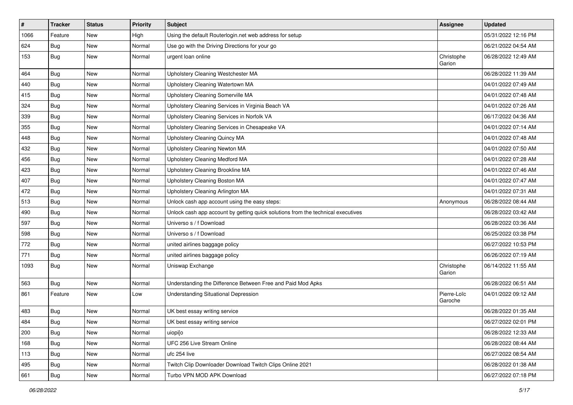| $\vert$ # | <b>Tracker</b> | <b>Status</b> | <b>Priority</b> | <b>Subject</b>                                                                   | <b>Assignee</b>        | <b>Updated</b>      |
|-----------|----------------|---------------|-----------------|----------------------------------------------------------------------------------|------------------------|---------------------|
| 1066      | Feature        | New           | High            | Using the default Routerlogin.net web address for setup                          |                        | 05/31/2022 12:16 PM |
| 624       | Bug            | New           | Normal          | Use go with the Driving Directions for your go                                   |                        | 06/21/2022 04:54 AM |
| 153       | Bug            | New           | Normal          | urgent loan online                                                               | Christophe<br>Garion   | 06/28/2022 12:49 AM |
| 464       | Bug            | New           | Normal          | Upholstery Cleaning Westchester MA                                               |                        | 06/28/2022 11:39 AM |
| 440       | Bug            | New           | Normal          | Upholstery Cleaning Watertown MA                                                 |                        | 04/01/2022 07:49 AM |
| 415       | Bug            | New           | Normal          | Upholstery Cleaning Somerville MA                                                |                        | 04/01/2022 07:48 AM |
| 324       | <b>Bug</b>     | New           | Normal          | Upholstery Cleaning Services in Virginia Beach VA                                |                        | 04/01/2022 07:26 AM |
| 339       | Bug            | New           | Normal          | Upholstery Cleaning Services in Norfolk VA                                       |                        | 06/17/2022 04:36 AM |
| 355       | Bug            | New           | Normal          | Upholstery Cleaning Services in Chesapeake VA                                    |                        | 04/01/2022 07:14 AM |
| 448       | Bug            | New           | Normal          | Upholstery Cleaning Quincy MA                                                    |                        | 04/01/2022 07:48 AM |
| 432       | Bug            | New           | Normal          | Upholstery Cleaning Newton MA                                                    |                        | 04/01/2022 07:50 AM |
| 456       | Bug            | New           | Normal          | <b>Upholstery Cleaning Medford MA</b>                                            |                        | 04/01/2022 07:28 AM |
| 423       | Bug            | New           | Normal          | Upholstery Cleaning Brookline MA                                                 |                        | 04/01/2022 07:46 AM |
| 407       | Bug            | New           | Normal          | Upholstery Cleaning Boston MA                                                    |                        | 04/01/2022 07:47 AM |
| 472       | Bug            | New           | Normal          | Upholstery Cleaning Arlington MA                                                 |                        | 04/01/2022 07:31 AM |
| 513       | Bug            | New           | Normal          | Unlock cash app account using the easy steps:                                    | Anonymous              | 06/28/2022 08:44 AM |
| 490       | Bug            | New           | Normal          | Unlock cash app account by getting quick solutions from the technical executives |                        | 06/28/2022 03:42 AM |
| 597       | Bug            | New           | Normal          | Universo s / f Download                                                          |                        | 06/28/2022 03:36 AM |
| 598       | <b>Bug</b>     | New           | Normal          | Universo s / f Download                                                          |                        | 06/25/2022 03:38 PM |
| 772       | Bug            | New           | Normal          | united airlines baggage policy                                                   |                        | 06/27/2022 10:53 PM |
| 771       | Bug            | New           | Normal          | united airlines baggage policy                                                   |                        | 06/26/2022 07:19 AM |
| 1093      | Bug            | New           | Normal          | Uniswap Exchange                                                                 | Christophe<br>Garion   | 06/14/2022 11:55 AM |
| 563       | Bug            | New           | Normal          | Understanding the Difference Between Free and Paid Mod Apks                      |                        | 06/28/2022 06:51 AM |
| 861       | Feature        | New           | Low             | Understanding Situational Depression                                             | Pierre-Loïc<br>Garoche | 04/01/2022 09:12 AM |
| 483       | Bug            | New           | Normal          | UK best essay writing service                                                    |                        | 06/28/2022 01:35 AM |
| 484       | Bug            | New           | Normal          | UK best essay writing service                                                    |                        | 06/27/2022 02:01 PM |
| 200       | Bug            | New           | Normal          | uiopi[o                                                                          |                        | 06/28/2022 12:33 AM |
| 168       | Bug            | New           | Normal          | UFC 256 Live Stream Online                                                       |                        | 06/28/2022 08:44 AM |
| 113       | Bug            | New           | Normal          | ufc 254 live                                                                     |                        | 06/27/2022 08:54 AM |
| 495       | Bug            | New           | Normal          | Twitch Clip Downloader Download Twitch Clips Online 2021                         |                        | 06/28/2022 01:38 AM |
| 661       | <b>Bug</b>     | New           | Normal          | Turbo VPN MOD APK Download                                                       |                        | 06/27/2022 07:18 PM |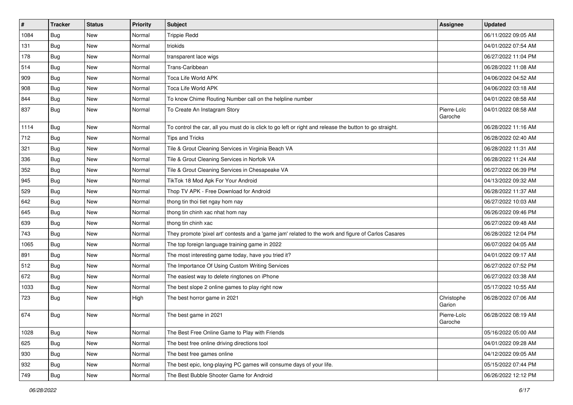| $\vert$ # | <b>Tracker</b> | <b>Status</b> | <b>Priority</b> | <b>Subject</b>                                                                                          | Assignee               | <b>Updated</b>      |
|-----------|----------------|---------------|-----------------|---------------------------------------------------------------------------------------------------------|------------------------|---------------------|
| 1084      | <b>Bug</b>     | New           | Normal          | <b>Trippie Redd</b>                                                                                     |                        | 06/11/2022 09:05 AM |
| 131       | Bug            | New           | Normal          | triokids                                                                                                |                        | 04/01/2022 07:54 AM |
| 178       | Bug            | New           | Normal          | transparent lace wigs                                                                                   |                        | 06/27/2022 11:04 PM |
| 514       | <b>Bug</b>     | New           | Normal          | Trans-Caribbean                                                                                         |                        | 06/28/2022 11:08 AM |
| 909       | Bug            | New           | Normal          | Toca Life World APK                                                                                     |                        | 04/06/2022 04:52 AM |
| 908       | <b>Bug</b>     | New           | Normal          | Toca Life World APK                                                                                     |                        | 04/06/2022 03:18 AM |
| 844       | Bug            | New           | Normal          | To know Chime Routing Number call on the helpline number                                                |                        | 04/01/2022 08:58 AM |
| 837       | Bug            | New           | Normal          | To Create An Instagram Story                                                                            | Pierre-Loïc<br>Garoche | 04/01/2022 08:58 AM |
| 1114      | <b>Bug</b>     | <b>New</b>    | Normal          | To control the car, all you must do is click to go left or right and release the button to go straight. |                        | 06/28/2022 11:16 AM |
| 712       | Bug            | New           | Normal          | <b>Tips and Tricks</b>                                                                                  |                        | 06/28/2022 02:40 AM |
| 321       | <b>Bug</b>     | New           | Normal          | Tile & Grout Cleaning Services in Virginia Beach VA                                                     |                        | 06/28/2022 11:31 AM |
| 336       | Bug            | New           | Normal          | Tile & Grout Cleaning Services in Norfolk VA                                                            |                        | 06/28/2022 11:24 AM |
| 352       | <b>Bug</b>     | New           | Normal          | Tile & Grout Cleaning Services in Chesapeake VA                                                         |                        | 06/27/2022 06:39 PM |
| 945       | Bug            | New           | Normal          | TikTok 18 Mod Apk For Your Android                                                                      |                        | 04/13/2022 09:32 AM |
| 529       | Bug            | New           | Normal          | Thop TV APK - Free Download for Android                                                                 |                        | 06/28/2022 11:37 AM |
| 642       | <b>Bug</b>     | New           | Normal          | thong tin thoi tiet ngay hom nay                                                                        |                        | 06/27/2022 10:03 AM |
| 645       | Bug            | New           | Normal          | thong tin chinh xac nhat hom nay                                                                        |                        | 06/26/2022 09:46 PM |
| 639       | Bug            | New           | Normal          | thong tin chinh xac                                                                                     |                        | 06/27/2022 09:48 AM |
| 743       | Bug            | New           | Normal          | They promote 'pixel art' contests and a 'game jam' related to the work and figure of Carlos Casares     |                        | 06/28/2022 12:04 PM |
| 1065      | Bug            | New           | Normal          | The top foreign language training game in 2022                                                          |                        | 06/07/2022 04:05 AM |
| 891       | Bug            | New           | Normal          | The most interesting game today, have you tried it?                                                     |                        | 04/01/2022 09:17 AM |
| 512       | Bug            | New           | Normal          | The Importance Of Using Custom Writing Services                                                         |                        | 06/27/2022 07:52 PM |
| 672       | Bug            | New           | Normal          | The easiest way to delete ringtones on iPhone                                                           |                        | 06/27/2022 03:38 AM |
| 1033      | <b>Bug</b>     | New           | Normal          | The best slope 2 online games to play right now                                                         |                        | 05/17/2022 10:55 AM |
| 723       | Bug            | New           | High            | The best horror game in 2021                                                                            | Christophe<br>Garion   | 06/28/2022 07:06 AM |
| 674       | Bug            | New           | Normal          | The best game in 2021                                                                                   | Pierre-Loïc<br>Garoche | 06/28/2022 08:19 AM |
| 1028      | Bug            | New           | Normal          | The Best Free Online Game to Play with Friends                                                          |                        | 05/16/2022 05:00 AM |
| 625       | Bug            | New           | Normal          | The best free online driving directions tool                                                            |                        | 04/01/2022 09:28 AM |
| 930       | Bug            | New           | Normal          | The best free games online                                                                              |                        | 04/12/2022 09:05 AM |
| 932       | Bug            | New           | Normal          | The best epic, long-playing PC games will consume days of your life.                                    |                        | 05/15/2022 07:44 PM |
| 749       | <b>Bug</b>     | New           | Normal          | The Best Bubble Shooter Game for Android                                                                |                        | 06/26/2022 12:12 PM |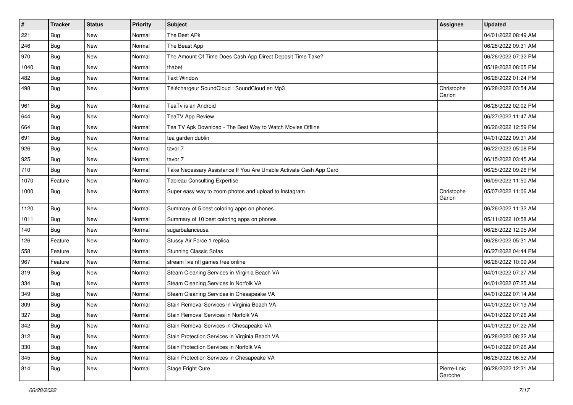| $\sharp$ | <b>Tracker</b> | <b>Status</b> | Priority | <b>Subject</b>                                                     | Assignee               | <b>Updated</b>      |
|----------|----------------|---------------|----------|--------------------------------------------------------------------|------------------------|---------------------|
| 221      | Bug            | New           | Normal   | The Best APk                                                       |                        | 04/01/2022 08:49 AM |
| 246      | Bug            | New           | Normal   | The Beast App                                                      |                        | 06/28/2022 09:31 AM |
| 970      | Bug            | New           | Normal   | The Amount Of Time Does Cash App Direct Deposit Time Take?         |                        | 06/26/2022 07:32 PM |
| 1040     | Bug            | New           | Normal   | thabet                                                             |                        | 05/19/2022 08:05 PM |
| 482      | Bug            | New           | Normal   | <b>Text Window</b>                                                 |                        | 06/28/2022 01:24 PM |
| 498      | Bug            | New           | Normal   | Téléchargeur SoundCloud : SoundCloud en Mp3                        | Christophe<br>Garion   | 06/28/2022 03:54 AM |
| 961      | Bug            | <b>New</b>    | Normal   | TeaTv is an Android                                                |                        | 06/26/2022 02:02 PM |
| 644      | Bug            | New           | Normal   | <b>TeaTV App Review</b>                                            |                        | 06/27/2022 11:47 AM |
| 664      | Bug            | <b>New</b>    | Normal   | Tea TV Apk Download - The Best Way to Watch Movies Offline         |                        | 06/26/2022 12:59 PM |
| 691      | Bug            | New           | Normal   | tea garden dublin                                                  |                        | 04/01/2022 09:31 AM |
| 926      | Bug            | <b>New</b>    | Normal   | tavor 7                                                            |                        | 06/22/2022 05:08 PM |
| 925      | Bug            | New           | Normal   | tavor 7                                                            |                        | 06/15/2022 03:45 AM |
| 710      | Bug            | New           | Normal   | Take Necessary Assistance If You Are Unable Activate Cash App Card |                        | 06/25/2022 09:26 PM |
| 1070     | Feature        | New           | Normal   | <b>Tableau Consulting Expertise</b>                                |                        | 06/09/2022 11:50 AM |
| 1000     | Bug            | New           | Normal   | Super easy way to zoom photos and upload to Instagram              | Christophe<br>Garion   | 05/07/2022 11:06 AM |
| 1120     | Bug            | New           | Normal   | Summary of 5 best coloring apps on phones                          |                        | 06/26/2022 11:32 AM |
| 1011     | Bug            | New           | Normal   | Summary of 10 best coloring apps on phones                         |                        | 05/11/2022 10:58 AM |
| 140      | Bug            | New           | Normal   | sugarbalanceusa                                                    |                        | 06/28/2022 12:05 AM |
| 126      | Feature        | New           | Normal   | Stussy Air Force 1 replica                                         |                        | 06/28/2022 05:31 AM |
| 558      | Feature        | New           | Normal   | <b>Stunning Classic Sofas</b>                                      |                        | 06/27/2022 04:44 PM |
| 967      | Feature        | <b>New</b>    | Normal   | stream live nfl games free online                                  |                        | 06/26/2022 10:09 AM |
| 319      | Bug            | New           | Normal   | Steam Cleaning Services in Virginia Beach VA                       |                        | 04/01/2022 07:27 AM |
| 334      | Bug            | New           | Normal   | Steam Cleaning Services in Norfolk VA                              |                        | 04/01/2022 07:25 AM |
| 349      | Bug            | New           | Normal   | Steam Cleaning Services in Chesapeake VA                           |                        | 04/01/2022 07:14 AM |
| 309      | Bug            | New           | Normal   | Stain Removal Services in Virginia Beach VA                        |                        | 04/01/2022 07:19 AM |
| 327      | Bug            | New           | Normal   | Stain Removal Services in Norfolk VA                               |                        | 04/01/2022 07:26 AM |
| 342      | Bug            | New           | Normal   | Stain Removal Services in Chesapeake VA                            |                        | 04/01/2022 07:22 AM |
| 312      | Bug            | New           | Normal   | Stain Protection Services in Virginia Beach VA                     |                        | 06/28/2022 08:22 AM |
| 330      | Bug            | <b>New</b>    | Normal   | Stain Protection Services in Norfolk VA                            |                        | 04/01/2022 07:26 AM |
| 345      | Bug            | New           | Normal   | Stain Protection Services in Chesapeake VA                         |                        | 06/28/2022 06:52 AM |
| 814      | <b>Bug</b>     | New           | Normal   | Stage Fright Cure                                                  | Pierre-Loïc<br>Garoche | 06/28/2022 12:31 AM |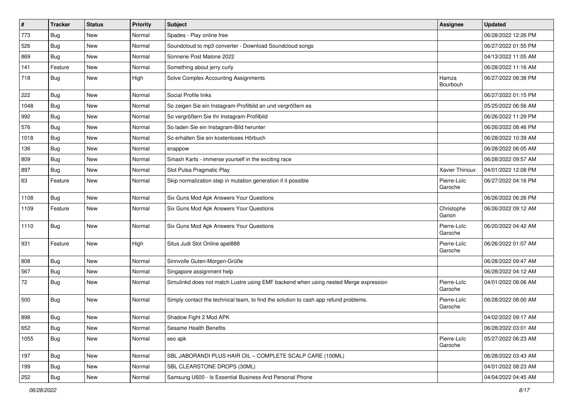| $\pmb{\#}$ | <b>Tracker</b> | <b>Status</b> | <b>Priority</b> | Subject                                                                              | Assignee               | <b>Updated</b>      |
|------------|----------------|---------------|-----------------|--------------------------------------------------------------------------------------|------------------------|---------------------|
| 773        | <b>Bug</b>     | New           | Normal          | Spades - Play online free                                                            |                        | 06/28/2022 12:26 PM |
| 526        | Bug            | <b>New</b>    | Normal          | Soundcloud to mp3 converter - Download Soundcloud songs                              |                        | 06/27/2022 01:55 PM |
| 869        | Bug            | <b>New</b>    | Normal          | Sonnerie Post Malone 2022                                                            |                        | 04/13/2022 11:05 AM |
| 141        | Feature        | New           | Normal          | Something about jerry curly                                                          |                        | 06/28/2022 11:16 AM |
| 718        | Bug            | <b>New</b>    | High            | Solve Complex Accounting Assignments                                                 | Hamza<br>Bourbouh      | 06/27/2022 08:38 PM |
| 222        | Bug            | New           | Normal          | Social Profile links                                                                 |                        | 06/27/2022 01:15 PM |
| 1048       | Bug            | <b>New</b>    | Normal          | So zeigen Sie ein Instagram-Profilbild an und vergrößern es                          |                        | 05/25/2022 06:56 AM |
| 992        | Bug            | <b>New</b>    | Normal          | So vergrößern Sie Ihr Instagram-Profilbild                                           |                        | 06/26/2022 11:29 PM |
| 576        | Bug            | New           | Normal          | So laden Sie ein Instagram-Bild herunter                                             |                        | 06/26/2022 08:46 PM |
| 1018       | Bug            | New           | Normal          | So erhalten Sie ein kostenloses Hörbuch                                              |                        | 06/28/2022 10:39 AM |
| 136        | <b>Bug</b>     | New           | Normal          | snappow                                                                              |                        | 06/28/2022 06:05 AM |
| 809        | Bug            | <b>New</b>    | Normal          | Smash Karts - immerse yourself in the exciting race                                  |                        | 06/28/2022 09:57 AM |
| 897        | <b>Bug</b>     | New           | Normal          | Slot Pulsa Pragmatic Play                                                            | Xavier Thirioux        | 04/01/2022 12:08 PM |
| 63         | Feature        | New           | Normal          | Skip normalization step in mutation generation if it possible                        | Pierre-Loïc<br>Garoche | 06/27/2022 04:16 PM |
| 1108       | Bug            | <b>New</b>    | Normal          | Six Guns Mod Apk Answers Your Questions                                              |                        | 06/26/2022 06:26 PM |
| 1109       | Feature        | <b>New</b>    | Normal          | Six Guns Mod Apk Answers Your Questions                                              | Christophe<br>Garion   | 06/26/2022 09:12 AM |
| 1110       | <b>Bug</b>     | New           | Normal          | Six Guns Mod Apk Answers Your Questions                                              | Pierre-Loïc<br>Garoche | 06/20/2022 04:42 AM |
| 931        | Feature        | <b>New</b>    | High            | Situs Judi Slot Online apel888                                                       | Pierre-Loïc<br>Garoche | 06/26/2022 01:07 AM |
| 808        | Bug            | <b>New</b>    | Normal          | Sinnvolle Guten-Morgen-Grüße                                                         |                        | 06/28/2022 09:47 AM |
| 567        | Bug            | New           | Normal          | Singapore assignment help                                                            |                        | 06/28/2022 04:12 AM |
| 72         | Bug            | New           | Normal          | Simulinkd does not match Lustre using EMF backend when using nested Merge expression | Pierre-Loïc<br>Garoche | 04/01/2022 08:06 AM |
| 500        | Bug            | New           | Normal          | Simply contact the technical team, to find the solution to cash app refund problems. | Pierre-Loïc<br>Garoche | 06/28/2022 08:00 AM |
| 898        | Bug            | New           | Normal          | Shadow Fight 2 Mod APK                                                               |                        | 04/02/2022 09:17 AM |
| 652        | <b>Bug</b>     | New           | Normal          | Sesame Health Benefits                                                               |                        | 06/28/2022 03:01 AM |
| 1055       | Bug            | New           | Normal          | seo apk                                                                              | Pierre-Loïc<br>Garoche | 05/27/2022 06:23 AM |
| 197        | <b>Bug</b>     | New           | Normal          | SBL JABORANDI PLUS HAIR OIL - COMPLETE SCALP CARE (100ML)                            |                        | 06/28/2022 03:43 AM |
| 199        | Bug            | New           | Normal          | SBL CLEARSTONE DROPS (30ML)                                                          |                        | 04/01/2022 08:23 AM |
| 252        | Bug            | New           | Normal          | Samsung U600 - Is Essential Business And Personal Phone                              |                        | 04/04/2022 04:45 AM |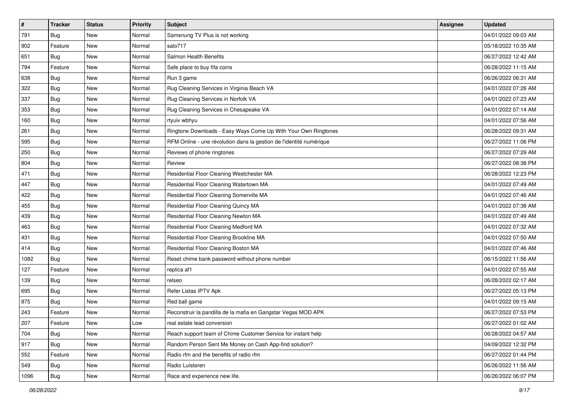| #    | <b>Tracker</b> | <b>Status</b> | <b>Priority</b> | Subject                                                             | Assignee | <b>Updated</b>      |
|------|----------------|---------------|-----------------|---------------------------------------------------------------------|----------|---------------------|
| 791  | <b>Bug</b>     | New           | Normal          | Samsnung TV Plus is not working                                     |          | 04/01/2022 09:03 AM |
| 902  | Feature        | New           | Normal          | salo717                                                             |          | 05/18/2022 10:35 AM |
| 651  | <b>Bug</b>     | New           | Normal          | Salmon Health Benefits                                              |          | 06/27/2022 12:42 AM |
| 794  | Feature        | New           | Normal          | Safe place to buy fifa coins                                        |          | 06/28/2022 11:15 AM |
| 638  | Bug            | <b>New</b>    | Normal          | Run 3 game                                                          |          | 06/26/2022 06:31 AM |
| 322  | <b>Bug</b>     | New           | Normal          | Rug Cleaning Services in Virginia Beach VA                          |          | 04/01/2022 07:26 AM |
| 337  | Bug            | New           | Normal          | Rug Cleaning Services in Norfolk VA                                 |          | 04/01/2022 07:23 AM |
| 353  | <b>Bug</b>     | New           | Normal          | Rug Cleaning Services in Chesapeake VA                              |          | 04/01/2022 07:14 AM |
| 160  | Bug            | New           | Normal          | rtyuiv wbhyu                                                        |          | 04/01/2022 07:56 AM |
| 261  | Bug            | New           | Normal          | Ringtone Downloads - Easy Ways Come Up With Your Own Ringtones      |          | 06/28/2022 09:31 AM |
| 595  | <b>Bug</b>     | New           | Normal          | RFM Online - une révolution dans la gestion de l'identité numérique |          | 06/27/2022 11:06 PM |
| 250  | <b>Bug</b>     | New           | Normal          | Reviews of phone ringtones                                          |          | 06/27/2022 07:29 AM |
| 804  | <b>Bug</b>     | New           | Normal          | Review                                                              |          | 06/27/2022 08:38 PM |
| 471  | Bug            | New           | Normal          | Residential Floor Cleaning Westchester MA                           |          | 06/28/2022 12:23 PM |
| 447  | Bug            | New           | Normal          | Residential Floor Cleaning Watertown MA                             |          | 04/01/2022 07:49 AM |
| 422  | <b>Bug</b>     | New           | Normal          | Residential Floor Cleaning Somerville MA                            |          | 04/01/2022 07:46 AM |
| 455  | Bug            | New           | Normal          | Residential Floor Cleaning Quincy MA                                |          | 04/01/2022 07:38 AM |
| 439  | <b>Bug</b>     | New           | Normal          | Residential Floor Cleaning Newton MA                                |          | 04/01/2022 07:49 AM |
| 463  | <b>Bug</b>     | New           | Normal          | Residential Floor Cleaning Medford MA                               |          | 04/01/2022 07:32 AM |
| 431  | Bug            | New           | Normal          | Residential Floor Cleaning Brookline MA                             |          | 04/01/2022 07:50 AM |
| 414  | Bug            | New           | Normal          | Residential Floor Cleaning Boston MA                                |          | 04/01/2022 07:46 AM |
| 1082 | <b>Bug</b>     | New           | Normal          | Reset chime bank password without phone number                      |          | 06/15/2022 11:56 AM |
| 127  | Feature        | New           | Normal          | replica af1                                                         |          | 04/01/2022 07:55 AM |
| 139  | Bug            | New           | Normal          | relseo                                                              |          | 06/28/2022 02:17 AM |
| 695  | Bug            | New           | Normal          | Refer Listas IPTV Apk                                               |          | 06/27/2022 05:13 PM |
| 875  | <b>Bug</b>     | New           | Normal          | Red ball game                                                       |          | 04/01/2022 09:15 AM |
| 243  | Feature        | New           | Normal          | Reconstruir la pandilla de la mafia en Gangstar Vegas MOD APK       |          | 06/27/2022 07:53 PM |
| 207  | Feature        | New           | Low             | real estate lead conversion                                         |          | 06/27/2022 01:02 AM |
| 704  | Bug            | New           | Normal          | Reach support team of Chime Customer Service for instant help       |          | 06/28/2022 04:57 AM |
| 917  | Bug            | New           | Normal          | Random Person Sent Me Money on Cash App-find solution?              |          | 04/09/2022 12:32 PM |
| 552  | Feature        | New           | Normal          | Radio rfm and the benefits of radio rfm                             |          | 06/27/2022 01:44 PM |
| 549  | Bug            | New           | Normal          | Radio Luisteren                                                     |          | 06/26/2022 11:56 AM |
| 1096 | Bug            | New           | Normal          | Race and experience new life.                                       |          | 06/26/2022 06:07 PM |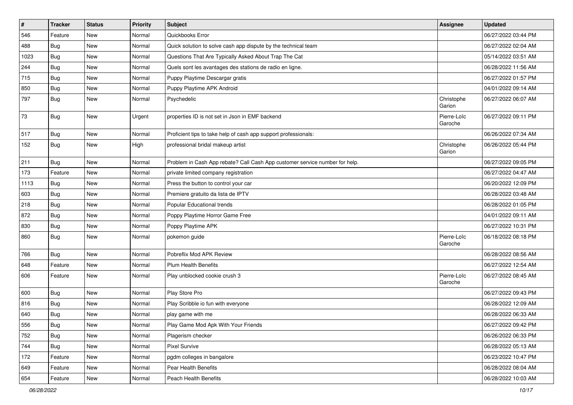| #    | <b>Tracker</b> | <b>Status</b> | <b>Priority</b> | <b>Subject</b>                                                              | Assignee               | <b>Updated</b>      |
|------|----------------|---------------|-----------------|-----------------------------------------------------------------------------|------------------------|---------------------|
| 546  | Feature        | New           | Normal          | Quickbooks Error                                                            |                        | 06/27/2022 03:44 PM |
| 488  | Bug            | New           | Normal          | Quick solution to solve cash app dispute by the technical team              |                        | 06/27/2022 02:04 AM |
| 1023 | Bug            | New           | Normal          | Questions That Are Typically Asked About Trap The Cat                       |                        | 05/14/2022 03:51 AM |
| 244  | Bug            | New           | Normal          | Quels sont les avantages des stations de radio en ligne.                    |                        | 06/28/2022 11:56 AM |
| 715  | Bug            | <b>New</b>    | Normal          | Puppy Playtime Descargar gratis                                             |                        | 06/27/2022 01:57 PM |
| 850  | Bug            | New           | Normal          | Puppy Playtime APK Android                                                  |                        | 04/01/2022 09:14 AM |
| 797  | Bug            | New           | Normal          | Psychedelic                                                                 | Christophe<br>Garion   | 06/27/2022 06:07 AM |
| 73   | Bug            | New           | Urgent          | properties ID is not set in Json in EMF backend                             | Pierre-Loïc<br>Garoche | 06/27/2022 09:11 PM |
| 517  | Bug            | New           | Normal          | Proficient tips to take help of cash app support professionals:             |                        | 06/26/2022 07:34 AM |
| 152  | Bug            | New           | High            | professional bridal makeup artist                                           | Christophe<br>Garion   | 06/26/2022 05:44 PM |
| 211  | Bug            | New           | Normal          | Problem in Cash App rebate? Call Cash App customer service number for help. |                        | 06/27/2022 09:05 PM |
| 173  | Feature        | New           | Normal          | private limited company registration                                        |                        | 06/27/2022 04:47 AM |
| 1113 | Bug            | New           | Normal          | Press the button to control your car                                        |                        | 06/20/2022 12:09 PM |
| 603  | Bug            | New           | Normal          | Premiere gratuito da lista de IPTV                                          |                        | 06/28/2022 03:48 AM |
| 218  | Bug            | New           | Normal          | Popular Educational trends                                                  |                        | 06/28/2022 01:05 PM |
| 872  | Bug            | New           | Normal          | Poppy Playtime Horror Game Free                                             |                        | 04/01/2022 09:11 AM |
| 830  | Bug            | New           | Normal          | Poppy Playtime APK                                                          |                        | 06/27/2022 10:31 PM |
| 860  | Bug            | New           | Normal          | pokemon guide                                                               | Pierre-Loïc<br>Garoche | 06/18/2022 08:18 PM |
| 766  | Bug            | <b>New</b>    | Normal          | Pobreflix Mod APK Review                                                    |                        | 06/28/2022 08:56 AM |
| 648  | Feature        | New           | Normal          | <b>Plum Health Benefits</b>                                                 |                        | 06/27/2022 12:54 AM |
| 606  | Feature        | New           | Normal          | Play unblocked cookie crush 3                                               | Pierre-Loïc<br>Garoche | 06/27/2022 08:45 AM |
| 600  | Bug            | New           | Normal          | Play Store Pro                                                              |                        | 06/27/2022 09:43 PM |
| 816  | Bug            | New           | Normal          | Play Scribble io fun with everyone                                          |                        | 06/28/2022 12:09 AM |
| 640  | Bug            | New           | Normal          | play game with me                                                           |                        | 06/28/2022 06:33 AM |
| 556  | <b>Bug</b>     | New           | Normal          | Play Game Mod Apk With Your Friends                                         |                        | 06/27/2022 09:42 PM |
| 752  | Bug            | New           | Normal          | Plagerism checker                                                           |                        | 06/26/2022 06:33 PM |
| 744  | Bug            | New           | Normal          | Pixel Survive                                                               |                        | 06/28/2022 05:13 AM |
| 172  | Feature        | New           | Normal          | pgdm colleges in bangalore                                                  |                        | 06/23/2022 10:47 PM |
| 649  | Feature        | New           | Normal          | Pear Health Benefits                                                        |                        | 06/28/2022 08:04 AM |
| 654  | Feature        | New           | Normal          | Peach Health Benefits                                                       |                        | 06/28/2022 10:03 AM |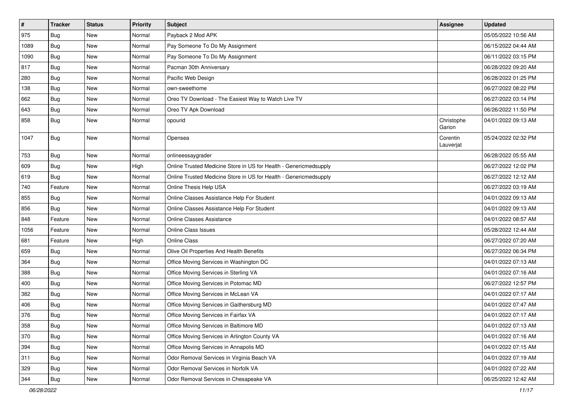| $\sharp$ | <b>Tracker</b> | <b>Status</b> | Priority | <b>Subject</b>                                                    | Assignee              | <b>Updated</b>      |
|----------|----------------|---------------|----------|-------------------------------------------------------------------|-----------------------|---------------------|
| 975      | Bug            | New           | Normal   | Payback 2 Mod APK                                                 |                       | 05/05/2022 10:56 AM |
| 1089     | Bug            | <b>New</b>    | Normal   | Pay Someone To Do My Assignment                                   |                       | 06/15/2022 04:44 AM |
| 1090     | Bug            | <b>New</b>    | Normal   | Pay Someone To Do My Assignment                                   |                       | 06/11/2022 03:15 PM |
| 817      | Bug            | <b>New</b>    | Normal   | Pacman 30th Anniversary                                           |                       | 06/28/2022 09:20 AM |
| 280      | Bug            | <b>New</b>    | Normal   | Pacific Web Design                                                |                       | 06/28/2022 01:25 PM |
| 138      | Bug            | New           | Normal   | own-sweethome                                                     |                       | 06/27/2022 08:22 PM |
| 662      | Bug            | New           | Normal   | Oreo TV Download - The Easiest Way to Watch Live TV               |                       | 06/27/2022 03:14 PM |
| 643      | Bug            | New           | Normal   | Oreo TV Apk Download                                              |                       | 06/26/2022 11:50 PM |
| 858      | Bug            | New           | Normal   | opourid                                                           | Christophe<br>Garion  | 04/01/2022 09:13 AM |
| 1047     | Bug            | New           | Normal   | Opensea                                                           | Corentin<br>Lauverjat | 05/24/2022 02:32 PM |
| 753      | Bug            | <b>New</b>    | Normal   | onlineessaygrader                                                 |                       | 06/28/2022 05:55 AM |
| 609      | Bug            | New           | High     | Online Trusted Medicine Store in US for Health - Genericmedsupply |                       | 06/27/2022 12:02 PM |
| 619      | Bug            | <b>New</b>    | Normal   | Online Trusted Medicine Store in US for Health - Genericmedsupply |                       | 06/27/2022 12:12 AM |
| 740      | Feature        | <b>New</b>    | Normal   | Online Thesis Help USA                                            |                       | 06/27/2022 03:19 AM |
| 855      | Bug            | New           | Normal   | Online Classes Assistance Help For Student                        |                       | 04/01/2022 09:13 AM |
| 856      | Bug            | New           | Normal   | Online Classes Assistance Help For Student                        |                       | 04/01/2022 09:13 AM |
| 848      | Feature        | New           | Normal   | Online Classes Assistance                                         |                       | 04/01/2022 08:57 AM |
| 1056     | Feature        | <b>New</b>    | Normal   | <b>Online Class Issues</b>                                        |                       | 05/28/2022 12:44 AM |
| 681      | Feature        | <b>New</b>    | High     | Online Class                                                      |                       | 06/27/2022 07:20 AM |
| 659      | <b>Bug</b>     | New           | Normal   | Olive Oil Properties And Health Benefits                          |                       | 06/27/2022 06:34 PM |
| 364      | Bug            | <b>New</b>    | Normal   | Office Moving Services in Washington DC                           |                       | 04/01/2022 07:13 AM |
| 388      | Bug            | New           | Normal   | Office Moving Services in Sterling VA                             |                       | 04/01/2022 07:16 AM |
| 400      | Bug            | <b>New</b>    | Normal   | Office Moving Services in Potomac MD                              |                       | 06/27/2022 12:57 PM |
| 382      | Bug            | <b>New</b>    | Normal   | Office Moving Services in McLean VA                               |                       | 04/01/2022 07:17 AM |
| 406      | Bug            | New           | Normal   | Office Moving Services in Gaithersburg MD                         |                       | 04/01/2022 07:47 AM |
| 376      | Bug            | New           | Normal   | Office Moving Services in Fairfax VA                              |                       | 04/01/2022 07:17 AM |
| 358      | Bug            | New           | Normal   | Office Moving Services in Baltimore MD                            |                       | 04/01/2022 07:13 AM |
| 370      | Bug            | New           | Normal   | Office Moving Services in Arlington County VA                     |                       | 04/01/2022 07:16 AM |
| 394      | Bug            | New           | Normal   | Office Moving Services in Annapolis MD                            |                       | 04/01/2022 07:15 AM |
| 311      | <b>Bug</b>     | New           | Normal   | Odor Removal Services in Virginia Beach VA                        |                       | 04/01/2022 07:19 AM |
| 329      | <b>Bug</b>     | New           | Normal   | Odor Removal Services in Norfolk VA                               |                       | 04/01/2022 07:22 AM |
| 344      | <b>Bug</b>     | New           | Normal   | Odor Removal Services in Chesapeake VA                            |                       | 06/25/2022 12:42 AM |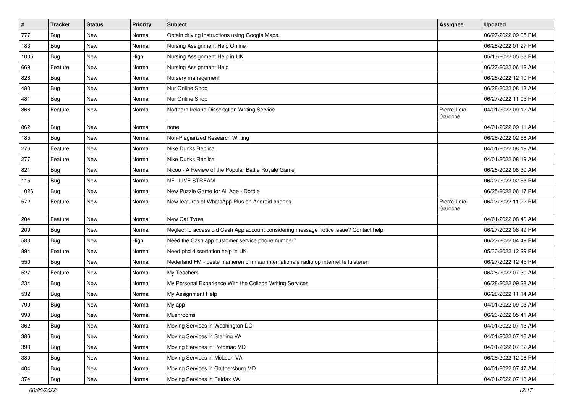| $\pmb{\#}$ | <b>Tracker</b> | <b>Status</b> | Priority | Subject                                                                                | Assignee               | <b>Updated</b>      |
|------------|----------------|---------------|----------|----------------------------------------------------------------------------------------|------------------------|---------------------|
| 777        | Bug            | New           | Normal   | Obtain driving instructions using Google Maps.                                         |                        | 06/27/2022 09:05 PM |
| 183        | Bug            | <b>New</b>    | Normal   | Nursing Assignment Help Online                                                         |                        | 06/28/2022 01:27 PM |
| 1005       | Bug            | New           | High     | Nursing Assignment Help in UK                                                          |                        | 05/13/2022 05:33 PM |
| 669        | Feature        | New           | Normal   | Nursing Assignment Help                                                                |                        | 06/27/2022 06:12 AM |
| 828        | Bug            | <b>New</b>    | Normal   | Nursery management                                                                     |                        | 06/28/2022 12:10 PM |
| 480        | <b>Bug</b>     | New           | Normal   | Nur Online Shop                                                                        |                        | 06/28/2022 08:13 AM |
| 481        | Bug            | <b>New</b>    | Normal   | Nur Online Shop                                                                        |                        | 06/27/2022 11:05 PM |
| 866        | Feature        | New           | Normal   | Northern Ireland Dissertation Writing Service                                          | Pierre-Loïc<br>Garoche | 04/01/2022 09:12 AM |
| 862        | <b>Bug</b>     | <b>New</b>    | Normal   | none                                                                                   |                        | 04/01/2022 09:11 AM |
| 185        | Bug            | New           | Normal   | Non-Plagiarized Research Writing                                                       |                        | 06/28/2022 02:56 AM |
| 276        | Feature        | <b>New</b>    | Normal   | Nike Dunks Replica                                                                     |                        | 04/01/2022 08:19 AM |
| 277        | Feature        | <b>New</b>    | Normal   | Nike Dunks Replica                                                                     |                        | 04/01/2022 08:19 AM |
| 821        | Bug            | New           | Normal   | Nicoo - A Review of the Popular Battle Royale Game                                     |                        | 06/28/2022 08:30 AM |
| 115        | <b>Bug</b>     | <b>New</b>    | Normal   | NFL LIVE STREAM                                                                        |                        | 06/27/2022 02:53 PM |
| 1026       | Bug            | New           | Normal   | New Puzzle Game for All Age - Dordle                                                   |                        | 06/25/2022 06:17 PM |
| 572        | Feature        | New           | Normal   | New features of WhatsApp Plus on Android phones                                        | Pierre-Loïc<br>Garoche | 06/27/2022 11:22 PM |
| 204        | Feature        | New           | Normal   | New Car Tyres                                                                          |                        | 04/01/2022 08:40 AM |
| 209        | Bug            | New           | Normal   | Neglect to access old Cash App account considering message notice issue? Contact help. |                        | 06/27/2022 08:49 PM |
| 583        | Bug            | <b>New</b>    | High     | Need the Cash app customer service phone number?                                       |                        | 06/27/2022 04:49 PM |
| 894        | Feature        | <b>New</b>    | Normal   | Need phd dissertation help in UK                                                       |                        | 05/30/2022 12:29 PM |
| 550        | Bug            | New           | Normal   | Nederland FM - beste manieren om naar internationale radio op internet te luisteren    |                        | 06/27/2022 12:45 PM |
| 527        | Feature        | New           | Normal   | My Teachers                                                                            |                        | 06/28/2022 07:30 AM |
| 234        | Bug            | New           | Normal   | My Personal Experience With the College Writing Services                               |                        | 06/28/2022 09:28 AM |
| 532        | <b>Bug</b>     | <b>New</b>    | Normal   | My Assignment Help                                                                     |                        | 06/28/2022 11:14 AM |
| 790        | Bug            | New           | Normal   | My app                                                                                 |                        | 04/01/2022 09:03 AM |
| 990        | Bug            | New           | Normal   | Mushrooms                                                                              |                        | 06/26/2022 05:41 AM |
| 362        | Bug            | New           | Normal   | Moving Services in Washington DC                                                       |                        | 04/01/2022 07:13 AM |
| 386        | Bug            | New           | Normal   | Moving Services in Sterling VA                                                         |                        | 04/01/2022 07:16 AM |
| 398        | Bug            | New           | Normal   | Moving Services in Potomac MD                                                          |                        | 04/01/2022 07:32 AM |
| 380        | <b>Bug</b>     | New           | Normal   | Moving Services in McLean VA                                                           |                        | 06/28/2022 12:06 PM |
| 404        | Bug            | New           | Normal   | Moving Services in Gaithersburg MD                                                     |                        | 04/01/2022 07:47 AM |
| 374        | <b>Bug</b>     | New           | Normal   | Moving Services in Fairfax VA                                                          |                        | 04/01/2022 07:18 AM |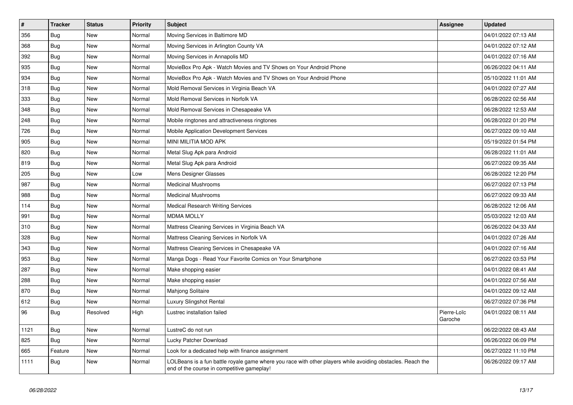| $\vert$ # | <b>Tracker</b> | <b>Status</b> | <b>Priority</b> | <b>Subject</b>                                                                                                                                           | <b>Assignee</b>        | <b>Updated</b>      |
|-----------|----------------|---------------|-----------------|----------------------------------------------------------------------------------------------------------------------------------------------------------|------------------------|---------------------|
| 356       | Bug            | <b>New</b>    | Normal          | Moving Services in Baltimore MD                                                                                                                          |                        | 04/01/2022 07:13 AM |
| 368       | Bug            | <b>New</b>    | Normal          | Moving Services in Arlington County VA                                                                                                                   |                        | 04/01/2022 07:12 AM |
| 392       | Bug            | New           | Normal          | Moving Services in Annapolis MD                                                                                                                          |                        | 04/01/2022 07:16 AM |
| 935       | Bug            | New           | Normal          | MovieBox Pro Apk - Watch Movies and TV Shows on Your Android Phone                                                                                       |                        | 06/26/2022 04:11 AM |
| 934       | Bug            | New           | Normal          | MovieBox Pro Apk - Watch Movies and TV Shows on Your Android Phone                                                                                       |                        | 05/10/2022 11:01 AM |
| 318       | <b>Bug</b>     | New           | Normal          | Mold Removal Services in Virginia Beach VA                                                                                                               |                        | 04/01/2022 07:27 AM |
| 333       | Bug            | New           | Normal          | Mold Removal Services in Norfolk VA                                                                                                                      |                        | 06/28/2022 02:56 AM |
| 348       | Bug            | New           | Normal          | Mold Removal Services in Chesapeake VA                                                                                                                   |                        | 06/28/2022 12:53 AM |
| 248       | <b>Bug</b>     | New           | Normal          | Mobile ringtones and attractiveness ringtones                                                                                                            |                        | 06/28/2022 01:20 PM |
| 726       | Bug            | New           | Normal          | Mobile Application Development Services                                                                                                                  |                        | 06/27/2022 09:10 AM |
| 905       | Bug            | New           | Normal          | MINI MILITIA MOD APK                                                                                                                                     |                        | 05/19/2022 01:54 PM |
| 820       | Bug            | New           | Normal          | Metal Slug Apk para Android                                                                                                                              |                        | 06/28/2022 11:01 AM |
| 819       | Bug            | New           | Normal          | Metal Slug Apk para Android                                                                                                                              |                        | 06/27/2022 09:35 AM |
| 205       | Bug            | New           | Low             | Mens Designer Glasses                                                                                                                                    |                        | 06/28/2022 12:20 PM |
| 987       | Bug            | New           | Normal          | <b>Medicinal Mushrooms</b>                                                                                                                               |                        | 06/27/2022 07:13 PM |
| 988       | <b>Bug</b>     | New           | Normal          | <b>Medicinal Mushrooms</b>                                                                                                                               |                        | 06/27/2022 09:33 AM |
| 114       | <b>Bug</b>     | New           | Normal          | <b>Medical Research Writing Services</b>                                                                                                                 |                        | 06/28/2022 12:06 AM |
| 991       | Bug            | <b>New</b>    | Normal          | <b>MDMA MOLLY</b>                                                                                                                                        |                        | 05/03/2022 12:03 AM |
| 310       | Bug            | <b>New</b>    | Normal          | Mattress Cleaning Services in Virginia Beach VA                                                                                                          |                        | 06/26/2022 04:33 AM |
| 328       | Bug            | New           | Normal          | Mattress Cleaning Services in Norfolk VA                                                                                                                 |                        | 04/01/2022 07:26 AM |
| 343       | Bug            | <b>New</b>    | Normal          | Mattress Cleaning Services in Chesapeake VA                                                                                                              |                        | 04/01/2022 07:16 AM |
| 953       | Bug            | New           | Normal          | Manga Dogs - Read Your Favorite Comics on Your Smartphone                                                                                                |                        | 06/27/2022 03:53 PM |
| 287       | Bug            | New           | Normal          | Make shopping easier                                                                                                                                     |                        | 04/01/2022 08:41 AM |
| 288       | <b>Bug</b>     | New           | Normal          | Make shopping easier                                                                                                                                     |                        | 04/01/2022 07:56 AM |
| 870       | <b>Bug</b>     | New           | Normal          | Mahjong Solitaire                                                                                                                                        |                        | 04/01/2022 09:12 AM |
| 612       | <b>Bug</b>     | <b>New</b>    | Normal          | <b>Luxury Slingshot Rental</b>                                                                                                                           |                        | 06/27/2022 07:36 PM |
| 96        | Bug            | Resolved      | High            | Lustrec installation failed                                                                                                                              | Pierre-Loïc<br>Garoche | 04/01/2022 08:11 AM |
| 1121      | Bug            | <b>New</b>    | Normal          | LustreC do not run                                                                                                                                       |                        | 06/22/2022 08:43 AM |
| 825       | Bug            | <b>New</b>    | Normal          | Lucky Patcher Download                                                                                                                                   |                        | 06/26/2022 06:09 PM |
| 665       | Feature        | <b>New</b>    | Normal          | Look for a dedicated help with finance assignment                                                                                                        |                        | 06/27/2022 11:10 PM |
| 1111      | Bug            | New           | Normal          | LOLBeans is a fun battle royale game where you race with other players while avoiding obstacles. Reach the<br>end of the course in competitive gameplay! |                        | 06/26/2022 09:17 AM |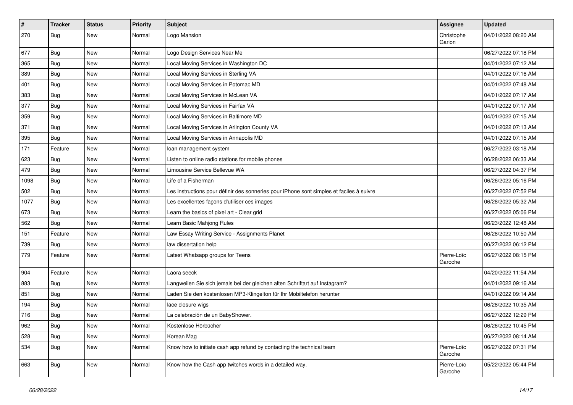| $\vert$ # | <b>Tracker</b> | <b>Status</b> | Priority | <b>Subject</b>                                                                           | <b>Assignee</b>        | <b>Updated</b>      |
|-----------|----------------|---------------|----------|------------------------------------------------------------------------------------------|------------------------|---------------------|
| 270       | Bug            | New           | Normal   | Logo Mansion                                                                             | Christophe<br>Garion   | 04/01/2022 08:20 AM |
| 677       | <b>Bug</b>     | New           | Normal   | Logo Design Services Near Me                                                             |                        | 06/27/2022 07:18 PM |
| 365       | <b>Bug</b>     | New           | Normal   | Local Moving Services in Washington DC                                                   |                        | 04/01/2022 07:12 AM |
| 389       | Bug            | <b>New</b>    | Normal   | Local Moving Services in Sterling VA                                                     |                        | 04/01/2022 07:16 AM |
| 401       | <b>Bug</b>     | New           | Normal   | Local Moving Services in Potomac MD                                                      |                        | 04/01/2022 07:48 AM |
| 383       | Bug            | New           | Normal   | Local Moving Services in McLean VA                                                       |                        | 04/01/2022 07:17 AM |
| 377       | Bug            | New           | Normal   | Local Moving Services in Fairfax VA                                                      |                        | 04/01/2022 07:17 AM |
| 359       | <b>Bug</b>     | New           | Normal   | Local Moving Services in Baltimore MD                                                    |                        | 04/01/2022 07:15 AM |
| 371       | Bug            | <b>New</b>    | Normal   | Local Moving Services in Arlington County VA                                             |                        | 04/01/2022 07:13 AM |
| 395       | <b>Bug</b>     | New           | Normal   | Local Moving Services in Annapolis MD                                                    |                        | 04/01/2022 07:15 AM |
| 171       | Feature        | New           | Normal   | loan management system                                                                   |                        | 06/27/2022 03:18 AM |
| 623       | Bug            | New           | Normal   | Listen to online radio stations for mobile phones                                        |                        | 06/28/2022 06:33 AM |
| 479       | Bug            | New           | Normal   | Limousine Service Bellevue WA                                                            |                        | 06/27/2022 04:37 PM |
| 1098      | Bug            | <b>New</b>    | Normal   | Life of a Fisherman                                                                      |                        | 06/26/2022 05:16 PM |
| 502       | Bug            | New           | Normal   | Les instructions pour définir des sonneries pour iPhone sont simples et faciles à suivre |                        | 06/27/2022 07:52 PM |
| 1077      | Bug            | New           | Normal   | Les excellentes façons d'utiliser ces images                                             |                        | 06/28/2022 05:32 AM |
| 673       | Bug            | New           | Normal   | Learn the basics of pixel art - Clear grid                                               |                        | 06/27/2022 05:06 PM |
| 562       | <b>Bug</b>     | New           | Normal   | Learn Basic Mahjong Rules                                                                |                        | 06/23/2022 12:48 AM |
| 151       | Feature        | New           | Normal   | Law Essay Writing Service - Assignments Planet                                           |                        | 06/28/2022 10:50 AM |
| 739       | <b>Bug</b>     | New           | Normal   | law dissertation help                                                                    |                        | 06/27/2022 06:12 PM |
| 779       | Feature        | New           | Normal   | Latest Whatsapp groups for Teens                                                         | Pierre-Loïc<br>Garoche | 06/27/2022 08:15 PM |
| 904       | Feature        | New           | Normal   | Laora seeck                                                                              |                        | 04/20/2022 11:54 AM |
| 883       | Bug            | New           | Normal   | Langweilen Sie sich jemals bei der gleichen alten Schriftart auf Instagram?              |                        | 04/01/2022 09:16 AM |
| 851       | Bug            | New           | Normal   | Laden Sie den kostenlosen MP3-Klingelton für Ihr Mobiltelefon herunter                   |                        | 04/01/2022 09:14 AM |
| 194       | Bug            | New           | Normal   | lace closure wigs                                                                        |                        | 06/28/2022 10:35 AM |
| 716       | Bug            | New           | Normal   | La celebración de un BabyShower.                                                         |                        | 06/27/2022 12:29 PM |
| 962       | <b>Bug</b>     | New           | Normal   | Kostenlose Hörbücher                                                                     |                        | 06/26/2022 10:45 PM |
| 528       | Bug            | New           | Normal   | Korean Mag                                                                               |                        | 06/27/2022 08:14 AM |
| 534       | Bug            | New           | Normal   | Know how to initiate cash app refund by contacting the technical team                    | Pierre-Loïc<br>Garoche | 06/27/2022 07:31 PM |
| 663       | Bug            | New           | Normal   | Know how the Cash app twitches words in a detailed way.                                  | Pierre-Loïc<br>Garoche | 05/22/2022 05:44 PM |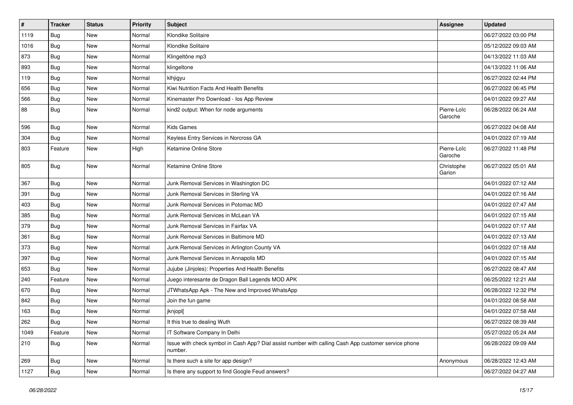| $\sharp$ | <b>Tracker</b> | <b>Status</b> | <b>Priority</b> | <b>Subject</b>                                                                                                  | <b>Assignee</b>        | <b>Updated</b>      |
|----------|----------------|---------------|-----------------|-----------------------------------------------------------------------------------------------------------------|------------------------|---------------------|
| 1119     | <b>Bug</b>     | New           | Normal          | Klondike Solitaire                                                                                              |                        | 06/27/2022 03:00 PM |
| 1016     | Bug            | New           | Normal          | Klondike Solitaire                                                                                              |                        | 05/12/2022 09:03 AM |
| 873      | <b>Bug</b>     | New           | Normal          | Klingeltöne mp3                                                                                                 |                        | 04/13/2022 11:03 AM |
| 893      | <b>Bug</b>     | New           | Normal          | klingeltone                                                                                                     |                        | 04/13/2022 11:06 AM |
| 119      | Bug            | New           | Normal          | klhjigyu                                                                                                        |                        | 06/27/2022 02:44 PM |
| 656      | <b>Bug</b>     | New           | Normal          | Kiwi Nutrition Facts And Health Benefits                                                                        |                        | 06/27/2022 06:45 PM |
| 566      | Bug            | New           | Normal          | Kinemaster Pro Download - los App Review                                                                        |                        | 04/01/2022 09:27 AM |
| 88       | Bug            | New           | Normal          | kind2 output: When for node arguments                                                                           | Pierre-Loïc<br>Garoche | 06/28/2022 06:24 AM |
| 596      | Bug            | <b>New</b>    | Normal          | <b>Kids Games</b>                                                                                               |                        | 06/27/2022 04:08 AM |
| 304      | Bug            | New           | Normal          | Keyless Entry Services in Norcross GA                                                                           |                        | 04/01/2022 07:19 AM |
| 803      | Feature        | New           | High            | Ketamine Online Store                                                                                           | Pierre-Loïc<br>Garoche | 06/27/2022 11:48 PM |
| 805      | Bug            | New           | Normal          | Ketamine Online Store                                                                                           | Christophe<br>Garion   | 06/27/2022 05:01 AM |
| 367      | <b>Bug</b>     | <b>New</b>    | Normal          | Junk Removal Services in Washington DC                                                                          |                        | 04/01/2022 07:12 AM |
| 391      | Bug            | New           | Normal          | Junk Removal Services in Sterling VA                                                                            |                        | 04/01/2022 07:16 AM |
| 403      | Bug            | New           | Normal          | Junk Removal Services in Potomac MD                                                                             |                        | 04/01/2022 07:47 AM |
| 385      | Bug            | New           | Normal          | Junk Removal Services in McLean VA                                                                              |                        | 04/01/2022 07:15 AM |
| 379      | <b>Bug</b>     | New           | Normal          | Junk Removal Services in Fairfax VA                                                                             |                        | 04/01/2022 07:17 AM |
| 361      | Bug            | New           | Normal          | Junk Removal Services in Baltimore MD                                                                           |                        | 04/01/2022 07:13 AM |
| 373      | Bug            | New           | Normal          | Junk Removal Services in Arlington County VA                                                                    |                        | 04/01/2022 07:18 AM |
| 397      | Bug            | New           | Normal          | Junk Removal Services in Annapolis MD                                                                           |                        | 04/01/2022 07:15 AM |
| 653      | Bug            | New           | Normal          | Jujube (Jinjoles): Properties And Health Benefits                                                               |                        | 06/27/2022 08:47 AM |
| 240      | Feature        | New           | Normal          | Juego interesante de Dragon Ball Legends MOD APK                                                                |                        | 06/25/2022 12:21 AM |
| 670      | Bug            | New           | Normal          | JTWhatsApp Apk - The New and Improved WhatsApp                                                                  |                        | 06/28/2022 12:32 PM |
| 842      | Bug            | New           | Normal          | Join the fun game                                                                                               |                        | 04/01/2022 08:58 AM |
| 163      | Bug            | New           | Normal          | jknjopl[                                                                                                        |                        | 04/01/2022 07:58 AM |
| 262      | Bug            | New           | Normal          | It this true to dealing Wuth                                                                                    |                        | 06/27/2022 08:39 AM |
| 1049     | Feature        | New           | Normal          | IT Software Company In Delhi                                                                                    |                        | 05/27/2022 05:24 AM |
| 210      | Bug            | New           | Normal          | Issue with check symbol in Cash App? Dial assist number with calling Cash App customer service phone<br>number. |                        | 06/28/2022 09:09 AM |
| 269      | Bug            | New           | Normal          | Is there such a site for app design?                                                                            | Anonymous              | 06/28/2022 12:43 AM |
| 1127     | <b>Bug</b>     | New           | Normal          | Is there any support to find Google Feud answers?                                                               |                        | 06/27/2022 04:27 AM |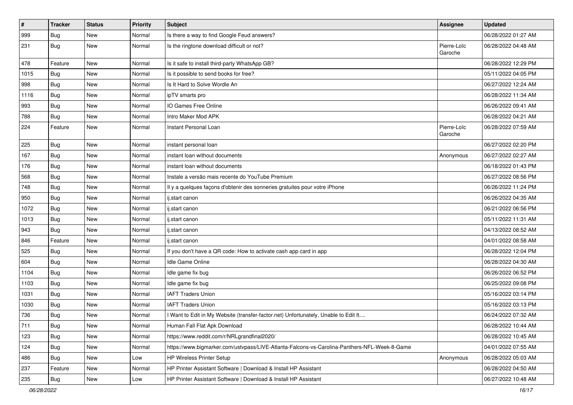| $\sharp$ | <b>Tracker</b> | <b>Status</b> | <b>Priority</b> | <b>Subject</b>                                                                               | <b>Assignee</b>        | <b>Updated</b>      |
|----------|----------------|---------------|-----------------|----------------------------------------------------------------------------------------------|------------------------|---------------------|
| 999      | Bug            | New           | Normal          | Is there a way to find Google Feud answers?                                                  |                        | 06/28/2022 01:27 AM |
| 231      | Bug            | New           | Normal          | Is the ringtone download difficult or not?                                                   | Pierre-Loïc<br>Garoche | 06/28/2022 04:48 AM |
| 478      | Feature        | <b>New</b>    | Normal          | Is it safe to install third-party WhatsApp GB?                                               |                        | 06/28/2022 12:29 PM |
| 1015     | Bug            | New           | Normal          | Is it possible to send books for free?                                                       |                        | 05/11/2022 04:05 PM |
| 998      | Bug            | New           | Normal          | Is It Hard to Solve Wordle An                                                                |                        | 06/27/2022 12:24 AM |
| 1116     | Bug            | New           | Normal          | ipTV smarts pro                                                                              |                        | 06/28/2022 11:34 AM |
| 993      | Bug            | New           | Normal          | IO Games Free Online                                                                         |                        | 06/26/2022 09:41 AM |
| 788      | Bug            | New           | Normal          | Intro Maker Mod APK                                                                          |                        | 06/28/2022 04:21 AM |
| 224      | Feature        | New           | Normal          | Instant Personal Loan                                                                        | Pierre-Loïc<br>Garoche | 06/28/2022 07:59 AM |
| 225      | Bug            | New           | Normal          | instant personal loan                                                                        |                        | 06/27/2022 02:20 PM |
| 167      | Bug            | New           | Normal          | instant loan without documents                                                               | Anonymous              | 06/27/2022 02:27 AM |
| 176      | Bug            | New           | Normal          | instant loan without documents                                                               |                        | 06/18/2022 01:43 PM |
| 568      | Bug            | New           | Normal          | Instale a versão mais recente do YouTube Premium                                             |                        | 06/27/2022 08:56 PM |
| 748      | Bug            | New           | Normal          | Il y a quelques façons d'obtenir des sonneries gratuites pour votre iPhone                   |                        | 06/26/2022 11:24 PM |
| 950      | Bug            | New           | Normal          | ij.start canon                                                                               |                        | 06/26/2022 04:35 AM |
| 1072     | Bug            | New           | Normal          | ij.start canon                                                                               |                        | 06/21/2022 06:56 PM |
| 1013     | Bug            | New           | Normal          | ij.start canon                                                                               |                        | 05/11/2022 11:31 AM |
| 943      | Bug            | New           | Normal          | ij.start canon                                                                               |                        | 04/13/2022 08:52 AM |
| 846      | Feature        | <b>New</b>    | Normal          | ij.start canon                                                                               |                        | 04/01/2022 08:58 AM |
| 525      | Bug            | New           | Normal          | If you don't have a QR code: How to activate cash app card in app                            |                        | 06/28/2022 12:04 PM |
| 604      | Bug            | New           | Normal          | Idle Game Online                                                                             |                        | 06/28/2022 04:30 AM |
| 1104     | Bug            | New           | Normal          | Idle game fix bug                                                                            |                        | 06/26/2022 06:52 PM |
| 1103     | Bug            | New           | Normal          | Idle game fix bug                                                                            |                        | 06/25/2022 09:08 PM |
| 1031     | Bug            | New           | Normal          | <b>IAFT Traders Union</b>                                                                    |                        | 05/16/2022 03:14 PM |
| 1030     | Bug            | New           | Normal          | <b>IAFT Traders Union</b>                                                                    |                        | 05/16/2022 03:13 PM |
| 736      | Bug            | <b>New</b>    | Normal          | I Want to Edit in My Website (transfer-factor.net) Unfortunately, Unable to Edit It          |                        | 06/24/2022 07:32 AM |
| 711      | Bug            | New           | Normal          | Human Fall Flat Apk Download                                                                 |                        | 06/28/2022 10:44 AM |
| 123      | Bug            | New           | Normal          | https://www.reddit.com/r/NRLgrandfinal2020/                                                  |                        | 06/28/2022 10:45 AM |
| 124      | Bug            | New           | Normal          | https://www.bigmarker.com/ustvpass/LIVE-Atlanta-Falcons-vs-Carolina-Panthers-NFL-Week-8-Game |                        | 04/01/2022 07:55 AM |
| 486      | <b>Bug</b>     | New           | Low             | HP Wireless Printer Setup                                                                    | Anonymous              | 06/28/2022 05:03 AM |
| 237      | Feature        | New           | Normal          | HP Printer Assistant Software   Download & Install HP Assistant                              |                        | 06/28/2022 04:50 AM |
| 235      | Bug            | New           | Low             | HP Printer Assistant Software   Download & Install HP Assistant                              |                        | 06/27/2022 10:48 AM |